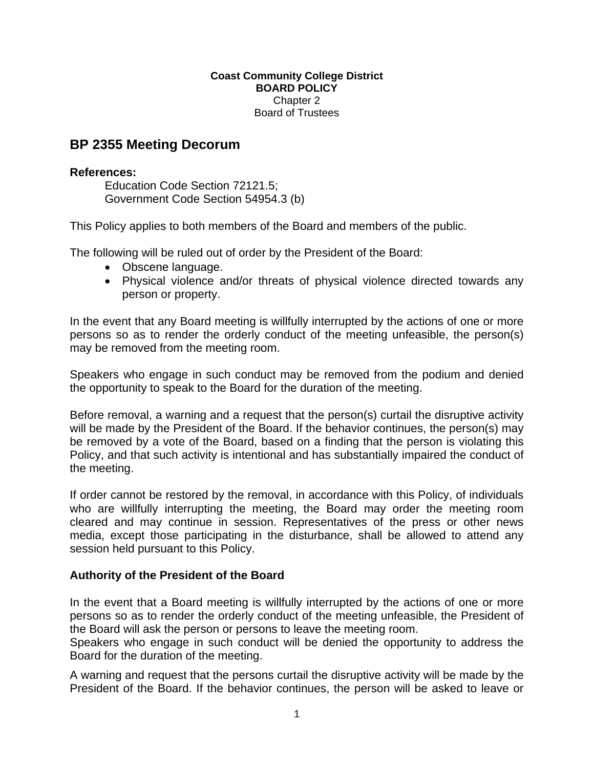## **Coast Community College District BOARD POLICY**  Chapter 2 Board of Trustees

## **BP 2355 Meeting Decorum**

## **References:**

Education Code Section 72121.5; Government Code Section 54954.3 (b)

This Policy applies to both members of the Board and members of the public.

The following will be ruled out of order by the President of the Board:

- Obscene language.
- Physical violence and/or threats of physical violence directed towards any person or property.

In the event that any Board meeting is willfully interrupted by the actions of one or more persons so as to render the orderly conduct of the meeting unfeasible, the person(s) may be removed from the meeting room.

Speakers who engage in such conduct may be removed from the podium and denied the opportunity to speak to the Board for the duration of the meeting.

Before removal, a warning and a request that the person(s) curtail the disruptive activity will be made by the President of the Board. If the behavior continues, the person(s) may be removed by a vote of the Board, based on a finding that the person is violating this Policy, and that such activity is intentional and has substantially impaired the conduct of the meeting.

If order cannot be restored by the removal, in accordance with this Policy, of individuals who are willfully interrupting the meeting, the Board may order the meeting room cleared and may continue in session. Representatives of the press or other news media, except those participating in the disturbance, shall be allowed to attend any session held pursuant to this Policy.

## **Authority of the President of the Board**

In the event that a Board meeting is willfully interrupted by the actions of one or more persons so as to render the orderly conduct of the meeting unfeasible, the President of the Board will ask the person or persons to leave the meeting room.

Speakers who engage in such conduct will be denied the opportunity to address the Board for the duration of the meeting.

A warning and request that the persons curtail the disruptive activity will be made by the President of the Board. If the behavior continues, the person will be asked to leave or